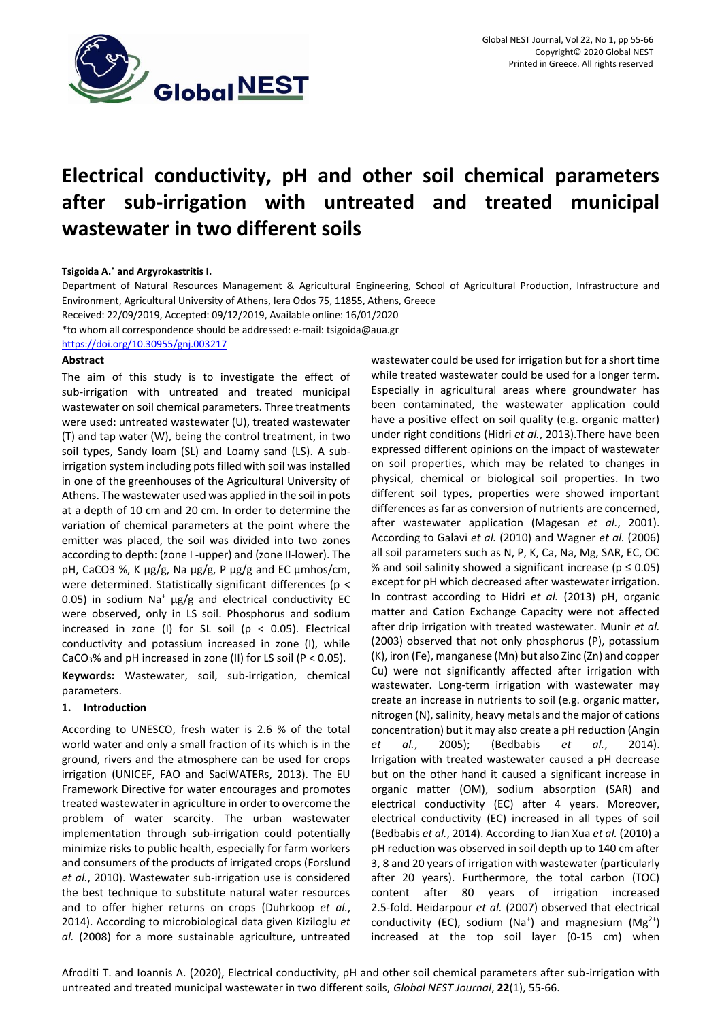

# **Electrical conductivity, pH and other soil chemical parameters after sub-irrigation with untreated and treated municipal wastewater in two different soils**

## **Tsigoida A.\* and Argyrokastritis I.**

Department of Natural Resources Management & Agricultural Engineering, School of Agricultural Production, Infrastructure and Environment, Agricultural University of Athens, Iera Odos 75, 11855, Athens, Greece

Received: 22/09/2019, Accepted: 09/12/2019, Available online: 16/01/2020

\*to whom all correspondence should be addressed: e-mail: tsigoida@aua.gr

<https://doi.org/10.30955/gnj.003217>

# **Abstract**

The aim of this study is to investigate the effect of sub-irrigation with untreated and treated municipal wastewater on soil chemical parameters. Three treatments were used: untreated wastewater (U), treated wastewater (T) and tap water (W), being the control treatment, in two soil types, Sandy loam (SL) and Loamy sand (LS). A subirrigation system including pots filled with soil was installed in one of the greenhouses of the Agricultural University of Athens. The wastewater used was applied in the soil in pots at a depth of 10 cm and 20 cm. In order to determine the variation of chemical parameters at the point where the emitter was placed, the soil was divided into two zones according to depth: (zone I -upper) and (zone II-lower). The pH, CaCO3 %, K  $\mu$ g/g, Na  $\mu$ g/g, P  $\mu$ g/g and EC  $\mu$ mhos/cm, were determined. Statistically significant differences (p < 0.05) in sodium Na<sup>+</sup>  $\mu$ g/g and electrical conductivity EC were observed, only in LS soil. Phosphorus and sodium increased in zone (I) for SL soil ( $p < 0.05$ ). Electrical conductivity and potassium increased in zone (I), while CaCO<sub>3</sub>% and pH increased in zone (II) for LS soil (P < 0.05).

**Keywords:** Wastewater, soil, sub-irrigation, chemical parameters.

# **1. Introduction**

According to UNESCO, fresh water is 2.6 % of the total world water and only a small fraction of its which is in the ground, rivers and the atmosphere can be used for crops irrigation (UNICEF, FAO and SaciWATERs, 2013). The EU Framework Directive for water encourages and promotes treated wastewater in agriculture in order to overcome the problem of water scarcity. The urban wastewater implementation through sub-irrigation could potentially minimize risks to public health, especially for farm workers and consumers of the products of irrigated crops (Forslund *et al.*, 2010). Wastewater sub-irrigation use is considered the best technique to substitute natural water resources and to offer higher returns on crops (Duhrkoop *et al.*, 2014). According to microbiological data given Kiziloglu *et al.* (2008) for a more sustainable agriculture, untreated

wastewater could be used for irrigation but for a short time while treated wastewater could be used for a longer term. Especially in agricultural areas where groundwater has been contaminated, the wastewater application could have a positive effect on soil quality (e.g. organic matter) under right conditions (Hidri *et al.*, 2013).There have been expressed different opinions on the impact of wastewater on soil properties, which may be related to changes in physical, chemical or biological soil properties. In two different soil types, properties were showed important differences as far as conversion of nutrients are concerned, after wastewater application (Magesan *et al.*, 2001). According to Galavi *et al.* (2010) and Wagner *et al.* (2006) all soil parameters such as N, P, K, Ca, Na, Mg, SAR, EC, OC % and soil salinity showed a significant increase ( $p \le 0.05$ ) except for pH which decreased after wastewater irrigation. In contrast according to Hidri *et al.* (2013) pH, organic matter and Cation Exchange Capacity were not affected after drip irrigation with treated wastewater. Munir *et al.* (2003) observed that not only phosphorus (P), potassium (K), iron (Fe), manganese (Mn) but also Zinc (Zn) and copper Cu) were not significantly affected after irrigation with wastewater. Long-term irrigation with wastewater may create an increase in nutrients to soil (e.g. organic matter, nitrogen (N), salinity, heavy metals and the major of cations concentration) but it may also create a pH reduction (Angin *et al.*, 2005); (Bedbabis *et al.*, 2014). Irrigation with treated wastewater caused a pH decrease but on the other hand it caused a significant increase in organic matter (OM), sodium absorption (SAR) and electrical conductivity (EC) after 4 years. Moreover, electrical conductivity (EC) increased in all types of soil (Bedbabis *et al.*, 2014). According to Jian Xua *et al.* (2010) a pH reduction was observed in soil depth up to 140 cm after 3, 8 and 20 years of irrigation with wastewater (particularly after 20 years). Furthermore, the total carbon (TOC) content after 80 years of irrigation increased 2.5-fold. Heidarpour *et al.* (2007) observed that electrical conductivity (EC), sodium (Na<sup>+</sup>) and magnesium (Mg<sup>2+</sup>) increased at the top soil layer (0-15 cm) when

Afroditi T. and Ioannis A. (2020), Electrical conductivity, pH and other soil chemical parameters after sub-irrigation with untreated and treated municipal wastewater in two different soils, *Global NEST Journal*, **22**(1), 55-66.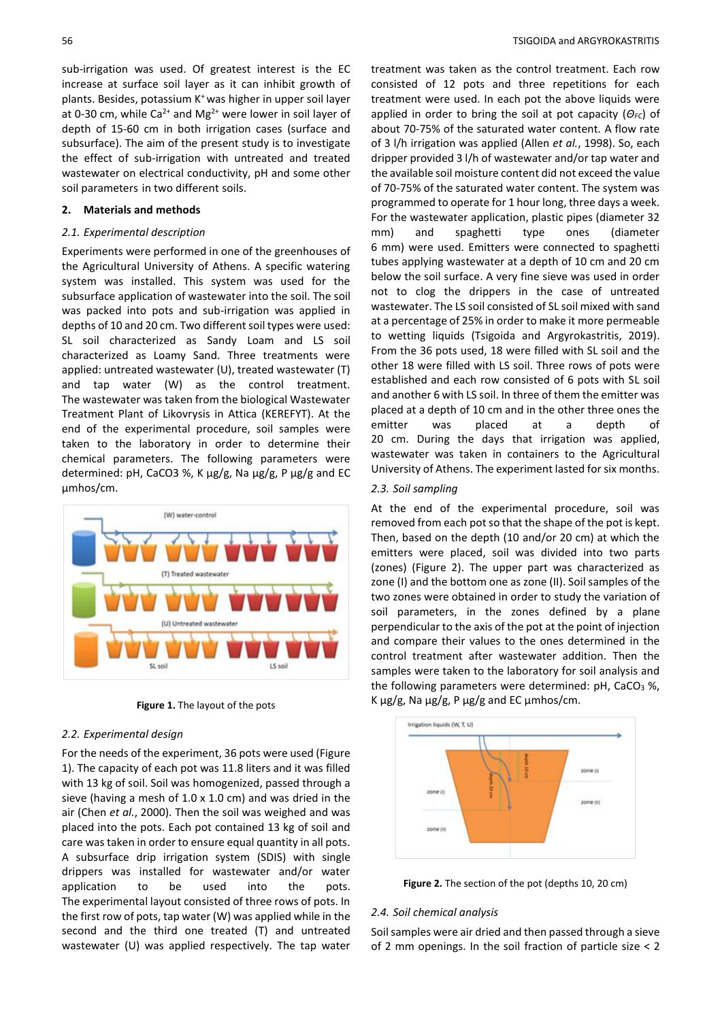sub-irrigation was used. Of greatest interest is the EC increase at surface soil layer as it can inhibit growth of plants. Besides, potassium K<sup>+</sup>was higher in upper soil layer at 0-30 cm, while Ca<sup>2+</sup> and Mg<sup>2+</sup> were lower in soil layer of depth of 15-60 cm in both irrigation cases (surface and subsurface). The aim of the present study is to investigate the effect of sub-irrigation with untreated and treated wastewater on electrical conductivity, pH and some other soil parameters in two different soils.

#### **2. Materials and methods**

## *2.1. Experimental description*

Experiments were performed in one of the greenhouses of the Agricultural University of Athens. A specific watering system was installed. This system was used for the subsurface application of wastewater into the soil. The soil was packed into pots and sub-irrigation was applied in depths of 10 and 20 cm. Two different soil types were used: SL soil characterized as Sandy Loam and LS soil characterized as Loamy Sand. Three treatments were applied: untreated wastewater (U), treated wastewater (T) and tap water (W) as the control treatment. The wastewater was taken from the biological Wastewater Treatment Plant of Likovrysis in Attica (KEREFYT). At the end of the experimental procedure, soil samples were taken to the laboratory in order to determine their chemical parameters. The following parameters were determined: pH, CaCO3 %, K μg/g, Na μg/g, P μg/g and EC μmhos/cm.



**Figure 1.** The layout of the pots

## *2.2. Experimental design*

For the needs of the experiment, 36 pots were used (Figure 1). The capacity of each pot was 11.8 liters and it was filled with 13 kg of soil. Soil was homogenized, passed through a sieve (having a mesh of 1.0 x 1.0 cm) and was dried in the air (Chen *et al.*, 2000). Then the soil was weighed and was placed into the pots. Each pot contained 13 kg of soil and care was taken in order to ensure equal quantity in all pots. A subsurface drip irrigation system (SDIS) with single drippers was installed for wastewater and/or water application to be used into the pots. The experimental layout consisted of three rows of pots. In the first row of pots, tap water (W) was applied while in the second and the third one treated (T) and untreated wastewater (U) was applied respectively. The tap water

treatment was taken as the control treatment. Each row consisted of 12 pots and three repetitions for each treatment were used. In each pot the above liquids were applied in order to bring the soil at pot capacity (*ΘFC*) of about 70-75% of the saturated water content. A flow rate of 3 l/h irrigation was applied (Allen *et al.*, 1998). So, each dripper provided 3 l/h of wastewater and/or tap water and the available soil moisture content did not exceed the value of 70-75% of the saturated water content. The system was programmed to operate for 1 hour long, three days a week. For the wastewater application, plastic pipes (diameter 32 mm) and spaghetti type ones (diameter 6 mm) were used. Emitters were connected to spaghetti tubes applying wastewater at a depth of 10 cm and 20 cm below the soil surface. A very fine sieve was used in order not to clog the drippers in the case of untreated wastewater. The LS soil consisted of SL soil mixed with sand at a percentage of 25% in order to make it more permeable to wetting liquids (Tsigoida and Argyrokastritis, 2019). From the 36 pots used, 18 were filled with SL soil and the other 18 were filled with LS soil. Three rows of pots were established and each row consisted of 6 pots with SL soil and another 6 with LS soil. In three of them the emitter was placed at a depth of 10 cm and in the other three ones the emitter was placed at a depth of 20 cm. During the days that irrigation was applied, wastewater was taken in containers to the Agricultural University of Athens. The experiment lasted for six months.

## *2.3. Soil sampling*

At the end of the experimental procedure, soil was removed from each pot so that the shape of the pot is kept. Then, based on the depth (10 and/or 20 cm) at which the emitters were placed, soil was divided into two parts (zones) (Figure 2). The upper part was characterized as zone (I) and the bottom one as zone (II). Soil samples of the two zones were obtained in order to study the variation of soil parameters, in the zones defined by a plane perpendicular to the axis of the pot at the point of injection and compare their values to the ones determined in the control treatment after wastewater addition. Then the samples were taken to the laboratory for soil analysis and the following parameters were determined:  $pH$ , CaCO<sub>3</sub> %, K μg/g, Na μg/g, P μg/g and EC μmhos/cm.



**Figure 2.** The section of the pot (depths 10, 20 cm)

# *2.4. Soil chemical analysis*

Soil samples were air dried and then passed through a sieve of 2 mm openings. In the soil fraction of particle size < 2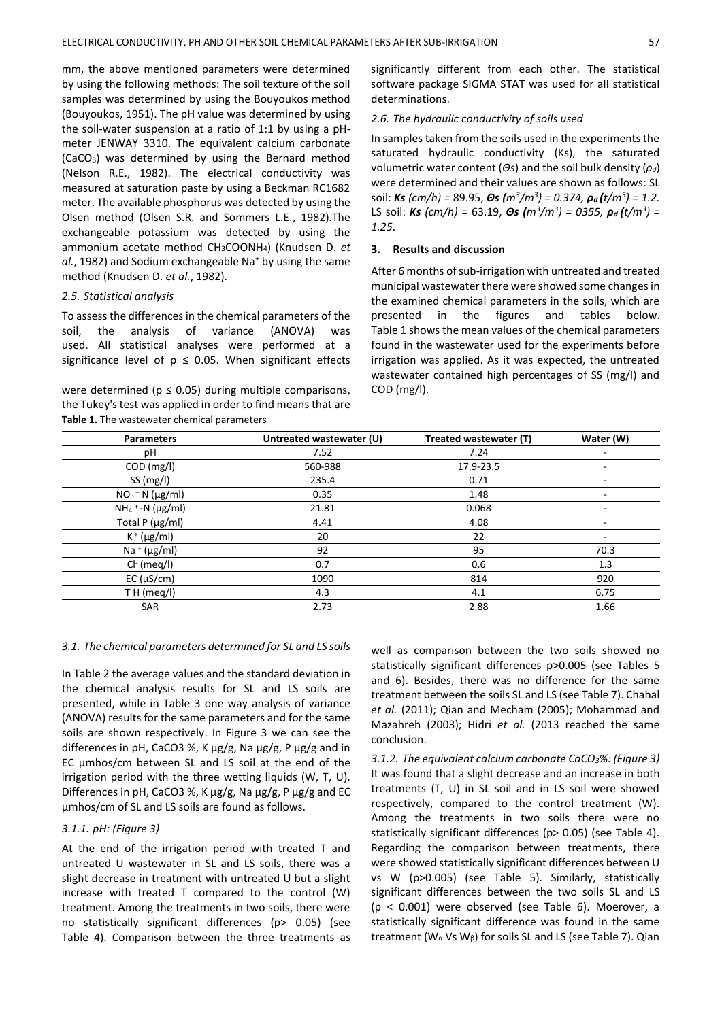mm, the above mentioned parameters were determined by using the following methods: The soil texture of the soil samples was determined by using the Bouyoukos method (Bouyoukos, 1951). The pH value was determined by using the soil-water suspension at a ratio of 1:1 by using a pHmeter JENWAY 3310. The equivalent calcium carbonate (CaCO3) was determined by using the Bernard method (Nelson R.E., 1982). The electrical conductivity was measured at saturation paste by using a Beckman RC1682 meter. The available phosphorus was detected by using the Olsen method (Olsen S.R. and Sommers L.E., 1982).The exchangeable potassium was detected by using the ammonium acetate method CH3COONH4) (Knudsen D. *et al.*, 1982) and Sodium exchangeable Na<sup>+</sup> by using the same method (Knudsen D. *et al.*, 1982).

# *2.5. Statistical analysis*

To assess the differences in the chemical parameters of the soil, the analysis of variance (ANOVA) was used. All statistical analyses were performed at a significance level of  $p \le 0.05$ . When significant effects

were determined ( $p \le 0.05$ ) during multiple comparisons, the Tukey's test was applied in order to find means that are **Table 1.** The wastewater chemical parameters

significantly different from each other. The statistical software package SIGMA STAT was used for all statistical determinations.

## *2.6. The hydraulic conductivity of soils used*

In samples taken from the soils used in the experiments the saturated hydraulic conductivity (Ks), the saturated volumetric water content (*Θs*) and the soil bulk density (*ρd*) were determined and their values are shown as follows: SL soil: *Ks (cm/h) =* 89.95, *Θs (m<sup>3</sup> /m<sup>3</sup> ) = 0.374, ρ<sup>d</sup> (t/m<sup>3</sup> ) = 1.2.*  LS soil: *Ks (cm/h)* = 63.19, *Θs (m<sup>3</sup> /m<sup>3</sup> ) = 0355, ρ<sup>d</sup> (t/m<sup>3</sup> ) = 1.25*.

# **3. Results and discussion**

After 6 months of sub-irrigation with untreated and treated municipal wastewater there were showed some changes in the examined chemical parameters in the soils, which are presented in the figures and tables below. Table 1 shows the mean values of the chemical parameters found in the wastewater used for the experiments before irrigation was applied. As it was expected, the untreated wastewater contained high percentages of SS (mg/l) and COD (mg/l).

| <b>Parameters</b>         | Untreated wastewater (U) | Treated wastewater (T) | Water (W) |
|---------------------------|--------------------------|------------------------|-----------|
| рH                        | 7.52                     | 7.24                   |           |
| COD (mg/l)                | 560-988                  | 17.9-23.5              |           |
| SS(mg/l)                  | 235.4                    | 0.71                   |           |
| $NO3 - N (µg/ml)$         | 0.35                     | 1.48                   | ۰         |
| $NH_4$ + -N ( $\mu$ g/ml) | 21.81                    | 0.068                  |           |
| Total P (µg/ml)           | 4.41                     | 4.08                   | -         |
| $K^+$ (µg/ml)             | 20                       | 22                     |           |
| Na + $(\mu g/ml)$         | 92                       | 95                     | 70.3      |
| $Cl-$ (meq/l)             | 0.7                      | 0.6                    | 1.3       |
| EC (µS/cm)                | 1090                     | 814                    | 920       |
| TH (meq/l)                | 4.3                      | 4.1                    | 6.75      |
| <b>SAR</b>                | 2.73                     | 2.88                   | 1.66      |

## *3.1. The chemical parameters determined for SL and LS soils*

In Table 2 the average values and the standard deviation in the chemical analysis results for SL and LS soils are presented, while in Table 3 one way analysis of variance (ANOVA) results for the same parameters and for the same soils are shown respectively. In Figure 3 we can see the differences in pH, CaCO3 %, K μg/g, Na μg/g, P μg/g and in EC μmhos/cm between SL and LS soil at the end of the irrigation period with the three wetting liquids (W, T, U). Differences in pH, CaCO3 %, K μg/g, Na μg/g, P μg/g and EC μmhos/cm of SL and LS soils are found as follows.

# *3.1.1. pH: (Figure 3)*

At the end of the irrigation period with treated T and untreated U wastewater in SL and LS soils, there was a slight decrease in treatment with untreated U but a slight increase with treated T compared to the control (W) treatment. Among the treatments in two soils, there were no statistically significant differences (p> 0.05) (see Table 4). Comparison between the three treatments as well as comparison between the two soils showed no statistically significant differences p>0.005 (see Tables 5 and 6). Besides, there was no difference for the same treatment between the soils SL and LS (see Table 7). Chahal *et al.* (2011); Qian and Mecham (2005); Mohammad and Mazahreh (2003); Hidri *et al.* (2013 reached the same conclusion.

*3.1.2. The equivalent calcium carbonate CaCO3%: (Figure 3)* It was found that a slight decrease and an increase in both treatments (T, U) in SL soil and in LS soil were showed respectively, compared to the control treatment (W). Among the treatments in two soils there were no statistically significant differences (p> 0.05) (see Table 4). Regarding the comparison between treatments, there were showed statistically significant differences between U vs W (p>0.005) (see Table 5). Similarly, statistically significant differences between the two soils SL and LS (p < 0.001) were observed (see Table 6). Moerover, a statistically significant difference was found in the same treatment (W<sub>α</sub> Vs W<sub>β</sub>) for soils SL and LS (see Table 7). Qian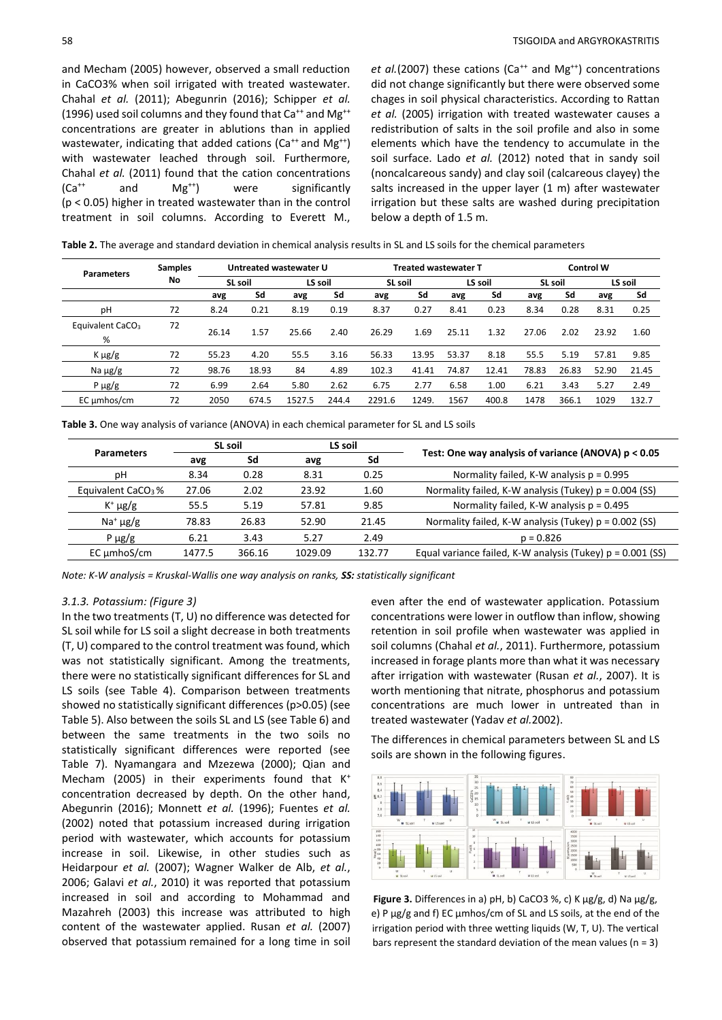and Mecham (2005) however, observed a small reduction in CaCO3% when soil irrigated with treated wastewater. Chahal *et al.* (2011); Abegunrin (2016); Schipper *et al.* (1996) used soil columns and they found that  $Ca^{++}$  and Mg<sup>++</sup> concentrations are greater in ablutions than in applied wastewater, indicating that added cations ( $Ca^{++}$  and  $Mg^{++}$ ) with wastewater leached through soil. Furthermore, Chahal *et al.* (2011) found that the cation concentrations  $(Ca^{++}$  and  $Mg^{++})$  were significantly (p < 0.05) higher in treated wastewater than in the control treatment in soil columns. According to Everett M.,

*et al.*(2007) these cations (Ca<sup>++</sup> and Mg<sup>++</sup>) concentrations did not change significantly but there were observed some chages in soil physical characteristics. According to Rattan *et al.* (2005) irrigation with treated wastewater causes a redistribution of salts in the soil profile and also in some elements which have the tendency to accumulate in the soil surface. Lado *et al.* (2012) noted that in sandy soil (noncalcareous sandy) and clay soil (calcareous clayey) the salts increased in the upper layer (1 m) after wastewater irrigation but these salts are washed during precipitation below a depth of 1.5 m.

| Table 2. The average and standard deviation in chemical analysis results in SL and LS soils for the chemical parameters |  |  |
|-------------------------------------------------------------------------------------------------------------------------|--|--|
|-------------------------------------------------------------------------------------------------------------------------|--|--|

| <b>Parameters</b>                 | <b>Samples</b> |         |       | Untreated wastewater U |       |         |       | <b>Treated wastewater T</b> |         |         |       | <b>Control W</b> |         |
|-----------------------------------|----------------|---------|-------|------------------------|-------|---------|-------|-----------------------------|---------|---------|-------|------------------|---------|
|                                   | No             | SL soil |       | LS soil                |       | SL soil |       |                             | LS soil | SL soil |       |                  | LS soil |
|                                   |                | avg     | Sd    | avg                    | Sd    | avg     | Sd    | avg                         | Sd      | avg     | Sd    | avg              | Sd      |
| рH                                | 72             | 8.24    | 0.21  | 8.19                   | 0.19  | 8.37    | 0.27  | 8.41                        | 0.23    | 8.34    | 0.28  | 8.31             | 0.25    |
| Equivalent CaCO <sub>3</sub><br>% | 72             | 26.14   | 1.57  | 25.66                  | 2.40  | 26.29   | 1.69  | 25.11                       | 1.32    | 27.06   | 2.02  | 23.92            | 1.60    |
| $K \mu g/g$                       | 72             | 55.23   | 4.20  | 55.5                   | 3.16  | 56.33   | 13.95 | 53.37                       | 8.18    | 55.5    | 5.19  | 57.81            | 9.85    |
| Na $\mu$ g/g                      | 72             | 98.76   | 18.93 | 84                     | 4.89  | 102.3   | 41.41 | 74.87                       | 12.41   | 78.83   | 26.83 | 52.90            | 21.45   |
| P $\mu$ g/g                       | 72             | 6.99    | 2.64  | 5.80                   | 2.62  | 6.75    | 2.77  | 6.58                        | 1.00    | 6.21    | 3.43  | 5.27             | 2.49    |
| EC umhos/cm                       | 72             | 2050    | 674.5 | 1527.5                 | 244.4 | 2291.6  | 1249. | 1567                        | 400.8   | 1478    | 366.1 | 1029             | 132.7   |

**Table 3.** One way analysis of variance (ANOVA) in each chemical parameter for SL and LS soils

|                           | <b>SL soil</b><br>LS soil<br><b>Parameters</b><br>Sd<br>Sd<br>avg<br>avg |        |                                                     |        |                                                              |  |
|---------------------------|--------------------------------------------------------------------------|--------|-----------------------------------------------------|--------|--------------------------------------------------------------|--|
|                           |                                                                          |        | Test: One way analysis of variance (ANOVA) p < 0.05 |        |                                                              |  |
| рH                        | 8.34                                                                     | 0.28   | 8.31                                                | 0.25   | Normality failed, K-W analysis $p = 0.995$                   |  |
| Equivalent $CaCO3$ %      | 27.06                                                                    | 2.02   | 23.92                                               | 1.60   | Normality failed, K-W analysis (Tukey) p = 0.004 (SS)        |  |
| $K^+ \mu g/g$             | 55.5                                                                     | 5.19   | 57.81                                               | 9.85   | Normality failed, K-W analysis $p = 0.495$                   |  |
| Na <sup>+</sup> $\mu$ g/g | 78.83                                                                    | 26.83  | 52.90                                               | 21.45  | Normality failed, K-W analysis (Tukey) p = 0.002 (SS)        |  |
| P $\mu$ g/g               | 6.21                                                                     | 3.43   | 5.27                                                | 2.49   | $p = 0.826$                                                  |  |
| EC umhoS/cm               | 1477.5                                                                   | 366.16 | 1029.09                                             | 132.77 | Equal variance failed, K-W analysis (Tukey) $p = 0.001$ (SS) |  |

*Note: K-W analysis = Kruskal-Wallis one way analysis on ranks, SS: statistically significant*

#### *3.1.3. Potassium: (Figure 3)*

In the two treatments (T, U) no difference was detected for SL soil while for LS soil a slight decrease in both treatments (T, U) compared to the control treatment was found, which was not statistically significant. Among the treatments, there were no statistically significant differences for SL and LS soils (see Table 4). Comparison between treatments showed no statistically significant differences (p>0.05) (see Table 5). Also between the soils SL and LS (see Table 6) and between the same treatments in the two soils no statistically significant differences were reported (see Table 7). Nyamangara and Mzezewa (2000); Qian and Mecham (2005) in their experiments found that  $K^+$ concentration decreased by depth. On the other hand, Abegunrin (2016); Monnett *et al.* (1996); Fuentes *et al.* (2002) noted that potassium increased during irrigation period with wastewater, which accounts for potassium increase in soil. Likewise, in other studies such as Heidarpour *et al.* (2007); Wagner Walker de Alb, *et al.*, 2006; Galavi *et al.*, 2010) it was reported that potassium increased in soil and according to Mohammad and Mazahreh (2003) this increase was attributed to high content of the wastewater applied. Rusan *et al.* (2007) observed that potassium remained for a long time in soil even after the end of wastewater application. Potassium concentrations were lower in outflow than inflow, showing retention in soil profile when wastewater was applied in soil columns (Chahal *et al.*, 2011). Furthermore, potassium increased in forage plants more than what it was necessary after irrigation with wastewater (Rusan *et al.*, 2007). It is worth mentioning that nitrate, phosphorus and potassium concentrations are much lower in untreated than in treated wastewater (Yadav *et al.*2002).

The differences in chemical parameters between SL and LS soils are shown in the following figures.



**Figure 3.** Differences in a) pH, b) CaCO3 %, c) K μg/g, d) Na μg/g, e) P μg/g and f) EC μmhos/cm of SL and LS soils, at the end of the irrigation period with three wetting liquids (W, T, U). The vertical bars represent the standard deviation of the mean values ( $n = 3$ )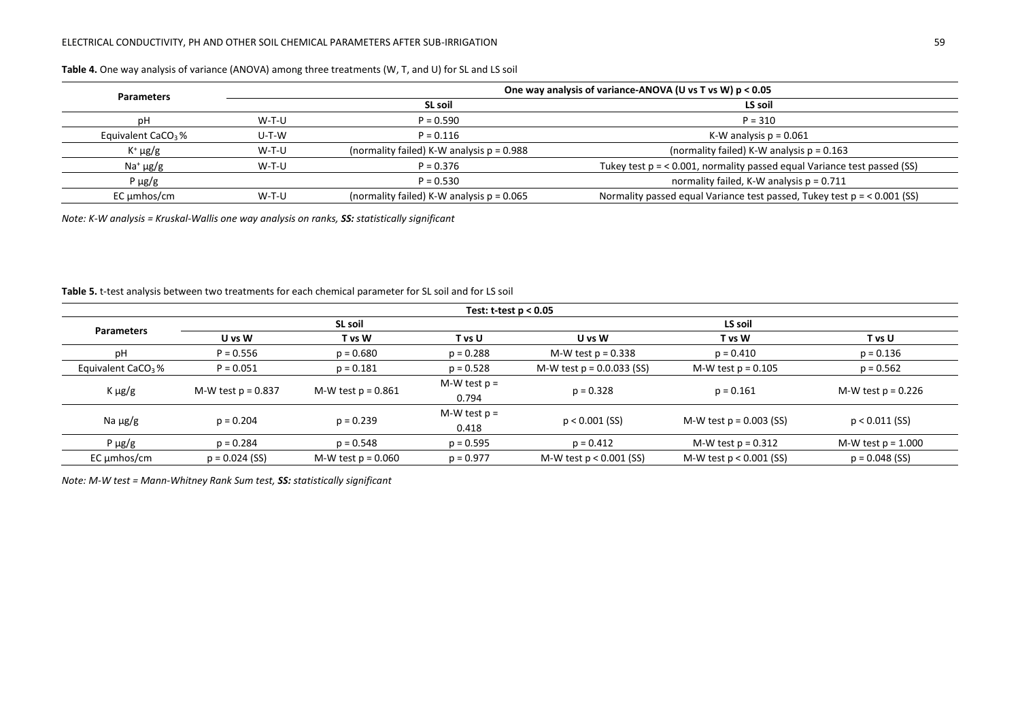# ELECTRICAL CONDUCTIVITY, PH AND OTHER SOIL CHEMICAL PARAMETERS AFTER SUB-IRRIGATION 59

| <b>Parameters</b>              |       | One way analysis of variance-ANOVA (U vs T vs W) p < 0.05 |                                                                           |  |  |
|--------------------------------|-------|-----------------------------------------------------------|---------------------------------------------------------------------------|--|--|
|                                |       | SL soil                                                   | LS soil                                                                   |  |  |
| рH                             | W-T-U | $P = 0.590$                                               | $P = 310$                                                                 |  |  |
| Equivalent CaCO <sub>3</sub> % | U-T-W | $P = 0.116$                                               | K-W analysis $p = 0.061$                                                  |  |  |
| $K^+ \mu g/g$                  | W-T-U | (normality failed) K-W analysis $p = 0.988$               | (normality failed) K-W analysis $p = 0.163$                               |  |  |
| $Na+ \mu g/g$                  | W-T-U | $P = 0.376$                                               | Tukey test $p = 0.001$ , normality passed equal Variance test passed (SS) |  |  |
| P $\mu$ g/g                    |       | $P = 0.530$                                               | normality failed, K-W analysis $p = 0.711$                                |  |  |
| EC umhos/cm                    | W-T-U | (normality failed) K-W analysis $p = 0.065$               | Normality passed equal Variance test passed, Tukey test $p = 0.001$ (SS)  |  |  |

## **Table 4.** One way analysis of variance (ANOVA) among three treatments (W, T, and U) for SL and LS soil

*Note: K-W analysis = Kruskal-Wallis one way analysis on ranks, SS: statistically significant*

# **Table 5.** t-test analysis between two treatments for each chemical parameter for SL soil and for LS soil

| Test: $t$ -test $p < 0.05$     |                      |                      |                         |                             |                           |                      |  |
|--------------------------------|----------------------|----------------------|-------------------------|-----------------------------|---------------------------|----------------------|--|
| <b>Parameters</b>              |                      | SL soil              |                         | LS soil                     |                           |                      |  |
|                                | U vs W               | T vs W               | T vs U                  | U vs W                      | T vs W                    | T vs U               |  |
| рH                             | $P = 0.556$          | $p = 0.680$          | $p = 0.288$             | M-W test $p = 0.338$        | $p = 0.410$               | $p = 0.136$          |  |
| Equivalent CaCO <sub>3</sub> % | $P = 0.051$          | $p = 0.181$          | $p = 0.528$             | M-W test $p = 0.0.033$ (SS) | M-W test $p = 0.105$      | $p = 0.562$          |  |
| K µg/g                         | M-W test $p = 0.837$ | M-W test $p = 0.861$ | M-W test $p =$<br>0.794 | $p = 0.328$                 | $p = 0.161$               | M-W test $p = 0.226$ |  |
| Na $\mu$ g/g                   | $p = 0.204$          | $p = 0.239$          | M-W test $p =$<br>0.418 | $p < 0.001$ (SS)            | M-W test $p = 0.003$ (SS) | $p < 0.011$ (SS)     |  |
| P $\mu$ g/g                    | $p = 0.284$          | $p = 0.548$          | $p = 0.595$             | $p = 0.412$                 | M-W test $p = 0.312$      | M-W test $p = 1.000$ |  |
| $EC \mu m$ hos/cm              | $p = 0.024$ (SS)     | M-W test $p = 0.060$ | $p = 0.977$             | M-W test $p < 0.001$ (SS)   | M-W test $p < 0.001$ (SS) | $p = 0.048$ (SS)     |  |

*Note: M-W test = Mann-Whitney Rank Sum test, SS: statistically significant*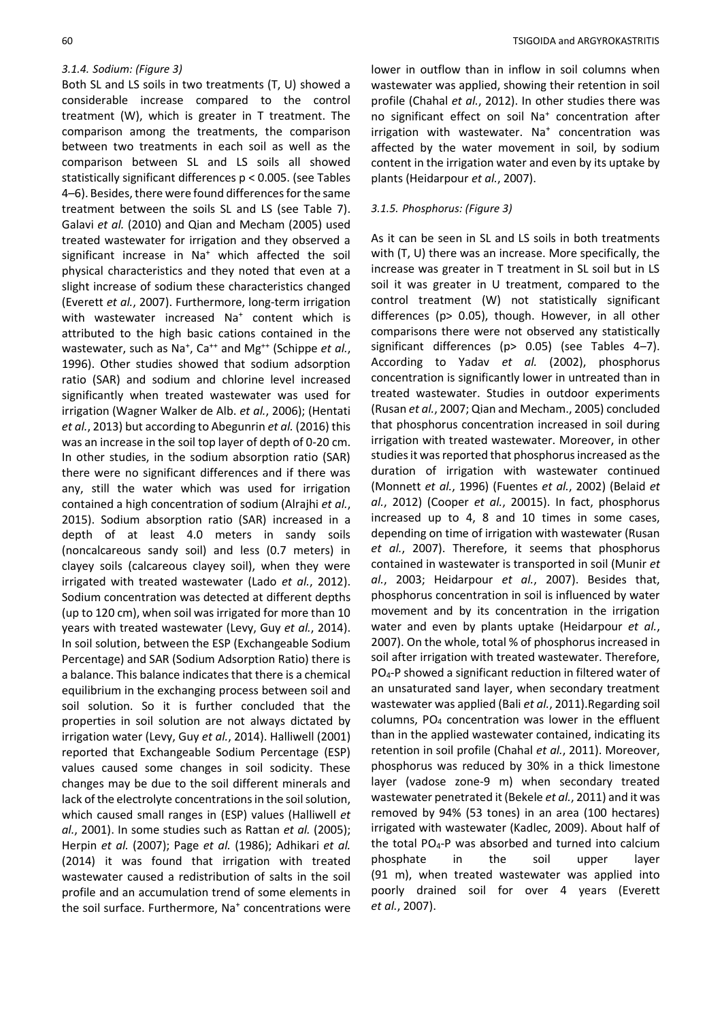## *3.1.4. Sodium: (Figure 3)*

Both SL and LS soils in two treatments (T, U) showed a considerable increase compared to the control treatment (W), which is greater in T treatment. The comparison among the treatments, the comparison between two treatments in each soil as well as the comparison between SL and LS soils all showed statistically significant differences p < 0.005. (see Tables 4–6). Besides, there were found differences for the same treatment between the soils SL and LS (see Table 7). Galavi *et al.* (2010) and Qian and Mecham (2005) used treated wastewater for irrigation and they observed a significant increase in Na<sup>+</sup> which affected the soil physical characteristics and they noted that even at a slight increase of sodium these characteristics changed (Everett *et al.*, 2007). Furthermore, long-term irrigation with wastewater increased Na<sup>+</sup> content which is attributed to the high basic cations contained in the wastewater, such as Na<sup>+</sup>, Ca<sup>++</sup> and Mg<sup>++</sup> (Schippe et al., 1996). Other studies showed that sodium adsorption ratio (SAR) and sodium and chlorine level increased significantly when treated wastewater was used for irrigation (Wagner Walker de Alb. *et al.*, 2006); (Hentati *et al.*, 2013) but according to Abegunrin *et al.* (2016) this was an increase in the soil top layer of depth of 0-20 cm. In other studies, in the sodium absorption ratio (SAR) there were no significant differences and if there was any, still the water which was used for irrigation contained a high concentration of sodium (Alrajhi *et al.*, 2015). Sodium absorption ratio (SAR) increased in a depth of at least 4.0 meters in sandy soils (noncalcareous sandy soil) and less (0.7 meters) in clayey soils (calcareous clayey soil), when they were irrigated with treated wastewater (Lado *et al.*, 2012). Sodium concentration was detected at different depths (up to 120 cm), when soil was irrigated for more than 10 years with treated wastewater (Levy, Guy *et al.*, 2014). In soil solution, between the ESP (Exchangeable Sodium Percentage) and SAR (Sodium Adsorption Ratio) there is a balance. This balance indicates that there is a chemical equilibrium in the exchanging process between soil and soil solution. So it is further concluded that the properties in soil solution are not always dictated by irrigation water (Levy, Guy *et al.*, 2014). Halliwell (2001) reported that Exchangeable Sodium Percentage (ESP) values caused some changes in soil sodicity. These changes may be due to the soil different minerals and lack of the electrolyte concentrations in the soil solution, which caused small ranges in (ESP) values (Halliwell *et al.*, 2001). In some studies such as Rattan *et al.* (2005); Herpin *et al.* (2007); Page *et al.* (1986); Adhikari *et al.* (2014) it was found that irrigation with treated wastewater caused a redistribution of salts in the soil profile and an accumulation trend of some elements in the soil surface. Furthermore, Na<sup>+</sup> concentrations were lower in outflow than in inflow in soil columns when wastewater was applied, showing their retention in soil profile (Chahal *et al.*, 2012). In other studies there was no significant effect on soil Na<sup>+</sup> concentration after irrigation with wastewater. Na<sup>+</sup> concentration was affected by the water movement in soil, by sodium content in the irrigation water and even by its uptake by plants (Heidarpour *et al.*, 2007).

# *3.1.5. Phosphorus: (Figure 3)*

As it can be seen in SL and LS soils in both treatments with (T, U) there was an increase. More specifically, the increase was greater in T treatment in SL soil but in LS soil it was greater in U treatment, compared to the control treatment (W) not statistically significant differences (p> 0.05), though. However, in all other comparisons there were not observed any statistically significant differences (p> 0.05) (see Tables 4-7). According to Yadav *et al.* (2002), phosphorus concentration is significantly lower in untreated than in treated wastewater. Studies in outdoor experiments (Rusan *et al.*, 2007; Qian and Mecham., 2005) concluded that phosphorus concentration increased in soil during irrigation with treated wastewater. Moreover, in other studies it was reported that phosphorus increased as the duration of irrigation with wastewater continued (Monnett *et al.*, 1996) (Fuentes *et al.*, 2002) (Belaid *et al.*, 2012) (Cooper *et al.*, 20015). In fact, phosphorus increased up to 4, 8 and 10 times in some cases, depending on time of irrigation with wastewater (Rusan *et al.*, 2007). Therefore, it seems that phosphorus contained in wastewater is transported in soil (Munir *et al.*, 2003; Heidarpour *et al.*, 2007). Besides that, phosphorus concentration in soil is influenced by water movement and by its concentration in the irrigation water and even by plants uptake (Heidarpour *et al.*, 2007). On the whole, total % of phosphorus increased in soil after irrigation with treated wastewater. Therefore, PO4-P showed a significant reduction in filtered water of an unsaturated sand layer, when secondary treatment wastewater was applied (Bali *et al.*, 2011).Regarding soil columns, PO<sup>4</sup> concentration was lower in the effluent than in the applied wastewater contained, indicating its retention in soil profile (Chahal *et al.*, 2011). Moreover, phosphorus was reduced by 30% in a thick limestone layer (vadose zone-9 m) when secondary treated wastewater penetrated it (Bekele *et al.*, 2011) and it was removed by 94% (53 tones) in an area (100 hectares) irrigated with wastewater (Kadlec, 2009). About half of the total PO4-P was absorbed and turned into calcium phosphate in the soil upper layer (91 m), when treated wastewater was applied into poorly drained soil for over 4 years (Everett *et al.*, 2007).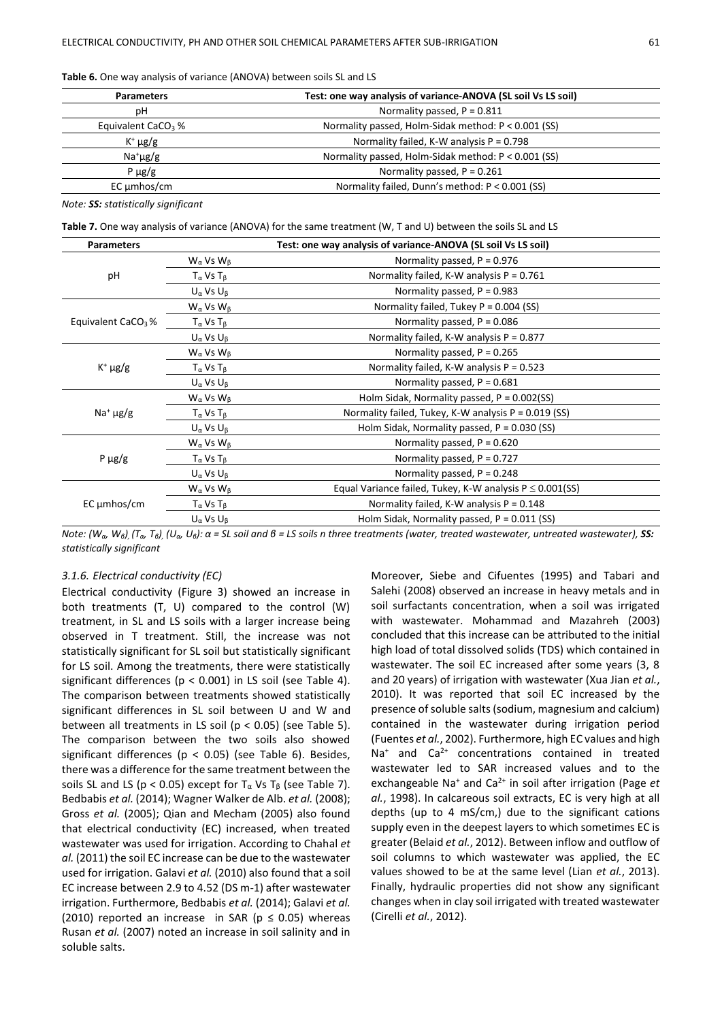**Table 6.** One way analysis of variance (ANOVA) between soils SL and LS

| Test: one way analysis of variance-ANOVA (SL soil Vs LS soil)<br><b>Parameters</b> |                                                     |  |
|------------------------------------------------------------------------------------|-----------------------------------------------------|--|
| рH                                                                                 | Normality passed, $P = 0.811$                       |  |
| Equivalent CaCO <sub>3</sub> %                                                     | Normality passed, Holm-Sidak method: P < 0.001 (SS) |  |
| $K^+ \mu g/g$                                                                      | Normality failed, K-W analysis $P = 0.798$          |  |
| $Na^{+} \mu g/g$                                                                   | Normality passed, Holm-Sidak method: P < 0.001 (SS) |  |
| $P \mu g/g$                                                                        | Normality passed, $P = 0.261$                       |  |
| EC umhos/cm                                                                        | Normality failed, Dunn's method: P < 0.001 (SS)     |  |
|                                                                                    |                                                     |  |

*Note: SS: statistically significant*

**Table 7.** One way analysis of variance (ANOVA) for the same treatment (W, T and U) between the soils SL and LS

| <b>Parameters</b>              | Test: one way analysis of variance-ANOVA (SL soil Vs LS soil) |                                                                |  |  |  |
|--------------------------------|---------------------------------------------------------------|----------------------------------------------------------------|--|--|--|
|                                | $W_{\alpha}$ Vs $W_{\beta}$                                   | Normality passed, $P = 0.976$                                  |  |  |  |
| pH                             | $T_{\alpha}$ Vs $T_{\beta}$                                   | Normality failed, K-W analysis $P = 0.761$                     |  |  |  |
|                                | $U_{\alpha}$ Vs $U_{\beta}$                                   | Normality passed, $P = 0.983$                                  |  |  |  |
|                                | $W_{\alpha}$ Vs $W_{\beta}$                                   | Normality failed, Tukey $P = 0.004$ (SS)                       |  |  |  |
| Equivalent CaCO <sub>3</sub> % | $T_{\alpha}$ Vs $T_{\beta}$                                   | Normality passed, $P = 0.086$                                  |  |  |  |
|                                | $U_{\alpha}$ Vs $U_{\beta}$                                   | Normality failed, K-W analysis $P = 0.877$                     |  |  |  |
| $K^+ \mu g/g$                  | $W_{\alpha}$ Vs $W_{\beta}$                                   | Normality passed, $P = 0.265$                                  |  |  |  |
|                                | $T_{\alpha}$ Vs $T_{\beta}$                                   | Normality failed, K-W analysis P = 0.523                       |  |  |  |
|                                | $U_{\alpha}$ Vs $U_{\beta}$                                   | Normality passed, $P = 0.681$                                  |  |  |  |
|                                | $W_{\alpha}$ Vs $W_{\beta}$                                   | Holm Sidak, Normality passed, $P = 0.002$ (SS)                 |  |  |  |
| $Na+ \mu g/g$                  | $T_{\alpha}$ Vs $T_{\beta}$                                   | Normality failed, Tukey, K-W analysis $P = 0.019$ (SS)         |  |  |  |
|                                | $U_{\alpha}$ Vs $U_{\beta}$                                   | Holm Sidak, Normality passed, $P = 0.030$ (SS)                 |  |  |  |
|                                | $W_{\alpha}$ Vs $W_{\beta}$                                   | Normality passed, $P = 0.620$                                  |  |  |  |
| $P \mu g/g$                    | $T_{\alpha}$ Vs $T_{\beta}$                                   | Normality passed, $P = 0.727$                                  |  |  |  |
|                                | $U_{\alpha}$ Vs $U_{\beta}$                                   | Normality passed, $P = 0.248$                                  |  |  |  |
| $EC \mu m$ hos/cm              | $W_{\alpha}$ Vs $W_{\beta}$                                   | Equal Variance failed, Tukey, K-W analysis $P \leq 0.001$ (SS) |  |  |  |
|                                | $T_{\alpha}$ Vs $T_{\beta}$                                   | Normality failed, K-W analysis $P = 0.148$                     |  |  |  |
|                                | $U_{\alpha}$ Vs $U_{\beta}$                                   | Holm Sidak, Normality passed, $P = 0.011$ (SS)                 |  |  |  |
|                                |                                                               |                                                                |  |  |  |

Note:  $(W_{\alpha}, W_{\beta})$ ,  $(T_{\alpha}, T_{\beta})$ ,  $(U_{\alpha}, U_{\beta})$ :  $\alpha$  = SL soil and  $\beta$  = LS soils n three treatments (water, treated wastewater, untreated wastewater), SS: *statistically significant*

#### *3.1.6. Electrical conductivity (EC)*

Electrical conductivity (Figure 3) showed an increase in both treatments (T, U) compared to the control (W) treatment, in SL and LS soils with a larger increase being observed in T treatment. Still, the increase was not statistically significant for SL soil but statistically significant for LS soil. Among the treatments, there were statistically significant differences (p < 0.001) in LS soil (see Table 4). The comparison between treatments showed statistically significant differences in SL soil between U and W and between all treatments in LS soil ( $p < 0.05$ ) (see Table 5). The comparison between the two soils also showed significant differences ( $p < 0.05$ ) (see Table 6). Besides, there was a difference for the same treatment between the soils SL and LS ( $p < 0.05$ ) except for T<sub>α</sub> Vs T<sub>β</sub> (see Table 7). Bedbabis *et al.* (2014); Wagner Walker de Alb. *et al.* (2008); Gross *et al.* (2005); Qian and Mecham (2005) also found that electrical conductivity (EC) increased, when treated wastewater was used for irrigation. According to Chahal *et al.* (2011) the soil EC increase can be due to the wastewater used for irrigation. Galavi *et al.* (2010) also found that a soil EC increase between 2.9 to 4.52 (DS m-1) after wastewater irrigation. Furthermore, Bedbabis *et al.* (2014); Galavi *et al.* (2010) reported an increase in SAR ( $p \le 0.05$ ) whereas Rusan *et al.* (2007) noted an increase in soil salinity and in soluble salts.

Moreover, Siebe and Cifuentes (1995) and Tabari and Salehi (2008) observed an increase in heavy metals and in soil surfactants concentration, when a soil was irrigated with wastewater. Mohammad and Mazahreh (2003) concluded that this increase can be attributed to the initial high load of total dissolved solids (TDS) which contained in wastewater. The soil EC increased after some years (3, 8 and 20 years) of irrigation with wastewater (Xua Jian *et al.*, 2010). It was reported that soil EC increased by the presence of soluble salts (sodium, magnesium and calcium) contained in the wastewater during irrigation period (Fuentes *et al.*, 2002). Furthermore, high EC values and high  $Na<sup>+</sup>$  and  $Ca<sup>2+</sup>$  concentrations contained in treated wastewater led to SAR increased values and to the exchangeable Na<sup>+</sup> and Ca2+ in soil after irrigation (Page *et al.*, 1998). In calcareous soil extracts, EC is very high at all depths (up to 4 mS/cm,) due to the significant cations supply even in the deepest layers to which sometimes EC is greater (Belaid *et al.*, 2012). Between inflow and outflow of soil columns to which wastewater was applied, the EC values showed to be at the same level (Lian *et al.*, 2013). Finally, hydraulic properties did not show any significant changes when in clay soil irrigated with treated wastewater (Cirelli *et al.*, 2012).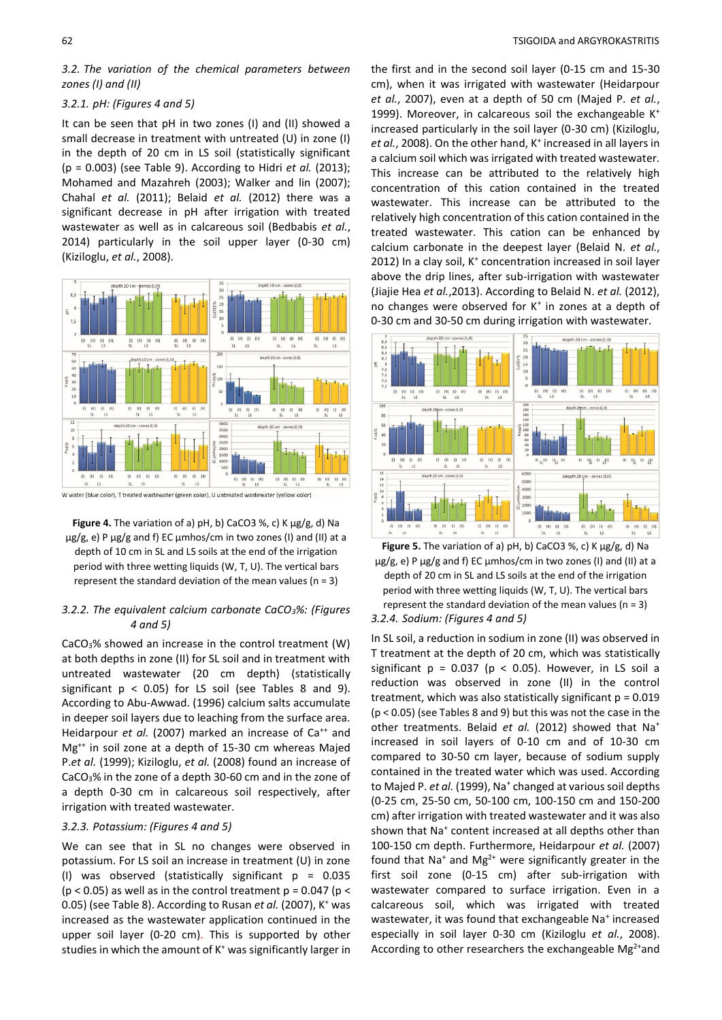*3.2. The variation of the chemical parameters between zones (I) and (II)*

#### *3.2.1. pH: (Figures 4 and 5)*

It can be seen that pH in two zones (I) and (II) showed a small decrease in treatment with untreated (U) in zone (I) in the depth of 20 cm in LS soil (statistically significant (p = 0.003) (see Table 9). According to Hidri *et al.* (2013); Mohamed and Mazahreh (2003); Walker and lin (2007); Chahal *et al.* (2011); Belaid *et al.* (2012) there was a significant decrease in pH after irrigation with treated wastewater as well as in calcareous soil (Bedbabis *et al.*, 2014) particularly in the soil upper layer (0-30 cm) (Kiziloglu, *et al.*, 2008).



**Figure 4.** The variation of a) pH, b) CaCO3 %, c) K μg/g, d) Na μg/g, e) P μg/g and f) EC μmhos/cm in two zones (I) and (II) at a depth of 10 cm in SL and LS soils at the end of the irrigation period with three wetting liquids (W, T, U). The vertical bars represent the standard deviation of the mean values ( $n = 3$ )

## *3.2.2. The equivalent calcium carbonate CaCO3%: (Figures 4 and 5)*

CaCO3% showed an increase in the control treatment (W) at both depths in zone (II) for SL soil and in treatment with untreated wastewater (20 cm depth) (statistically significant  $p < 0.05$ ) for LS soil (see Tables 8 and 9). According to Abu-Awwad. (1996) calcium salts accumulate in deeper soil layers due to leaching from the surface area. Heidarpour *et al.* (2007) marked an increase of Ca<sup>++</sup> and Mg++ in soil zone at a depth of 15-30 cm whereas Majed P.*et al.* (1999); Kiziloglu, *et al.* (2008) found an increase of CaCO3% in the zone of a depth 30-60 cm and in the zone of a depth 0-30 cm in calcareous soil respectively, after irrigation with treated wastewater.

# *3.2.3. Potassium: (Figures 4 and 5)*

We can see that in SL no changes were observed in potassium. For LS soil an increase in treatment (U) in zone (I) was observed (statistically significant  $p = 0.035$  $(p < 0.05)$  as well as in the control treatment  $p = 0.047$  ( $p <$ 0.05) (see Table 8). According to Rusan *et al.* (2007), K<sup>+</sup> was increased as the wastewater application continued in the upper soil layer (0-20 cm). This is supported by other studies in which the amount of  $K^+$  was significantly larger in the first and in the second soil layer (0-15 cm and 15-30 cm), when it was irrigated with wastewater (Heidarpour *et al.*, 2007), even at a depth of 50 cm (Majed P. *et al.*, 1999). Moreover, in calcareous soil the exchangeable K<sup>+</sup> increased particularly in the soil layer (0-30 cm) (Kiziloglu, et al., 2008). On the other hand, K<sup>+</sup> increased in all layers in a calcium soil which was irrigated with treated wastewater. This increase can be attributed to the relatively high concentration of this cation contained in the treated wastewater. This increase can be attributed to the relatively high concentration of this cation contained in the treated wastewater. This cation can be enhanced by calcium carbonate in the deepest layer (Belaid N. *et al.*, 2012) In a clay soil, K<sup>+</sup> concentration increased in soil layer above the drip lines, after sub-irrigation with wastewater (Jiajie Hea *et al.*,2013). According to Belaid N. *et al.* (2012), no changes were observed for K<sup>+</sup> in zones at a depth of 0-30 cm and 30-50 cm during irrigation with wastewater.





# *3.2.4. Sodium: (Figures 4 and 5)*

In SL soil, a reduction in sodium in zone (II) was observed in T treatment at the depth of 20 cm, which was statistically significant  $p = 0.037$  ( $p < 0.05$ ). However, in LS soil a reduction was observed in zone (II) in the control treatment, which was also statistically significant  $p = 0.019$ (p < 0.05) (see Tables 8 and 9) but this was not the case in the other treatments. Belaid *et al.* (2012) showed that Na<sup>+</sup> increased in soil layers of 0-10 cm and of 10-30 cm compared to 30-50 cm layer, because of sodium supply contained in the treated water which was used. According to Majed P. et al. (1999), Na<sup>+</sup> changed at various soil depths (0-25 cm, 25-50 cm, 50-100 cm, 100-150 cm and 150-200 cm) after irrigation with treated wastewater and it was also shown that Na<sup>+</sup> content increased at all depths other than 100-150 cm depth. Furthermore, Heidarpour *et al.* (2007) found that Na<sup>+</sup> and Mg<sup>2+</sup> were significantly greater in the first soil zone (0-15 cm) after sub-irrigation with wastewater compared to surface irrigation. Even in a calcareous soil, which was irrigated with treated wastewater, it was found that exchangeable Na<sup>+</sup> increased especially in soil layer 0-30 cm (Kiziloglu *et al.*, 2008). According to other researchers the exchangeable  $Mg^{2+}$ and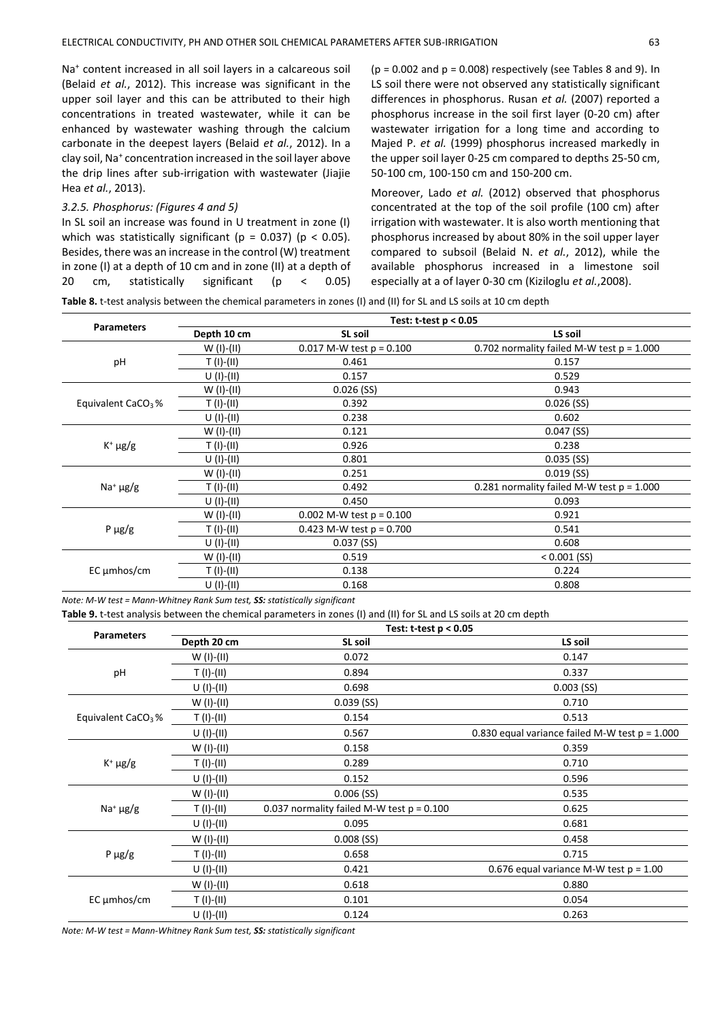Na<sup>+</sup> content increased in all soil layers in a calcareous soil (Belaid *et al.*, 2012). This increase was significant in the upper soil layer and this can be attributed to their high concentrations in treated wastewater, while it can be enhanced by wastewater washing through the calcium carbonate in the deepest layers (Belaid *et al.*, 2012). In a clay soil, Na<sup>+</sup> concentration increased in the soil layer above the drip lines after sub-irrigation with wastewater (Jiajie Hea *et al.*, 2013).

# *3.2.5. Phosphorus: (Figures 4 and 5)*

In SL soil an increase was found in U treatment in zone (I) which was statistically significant ( $p = 0.037$ ) ( $p < 0.05$ ). Besides, there was an increase in the control (W) treatment in zone (I) at a depth of 10 cm and in zone (II) at a depth of 20 cm, statistically significant (p < 0.05)  $(p = 0.002$  and  $p = 0.008$ ) respectively (see Tables 8 and 9). In LS soil there were not observed any statistically significant differences in phosphorus. Rusan *et al.* (2007) reported a phosphorus increase in the soil first layer (0-20 cm) after wastewater irrigation for a long time and according to Majed P. *et al.* (1999) phosphorus increased markedly in the upper soil layer 0-25 cm compared to depths 25-50 cm, 50-100 cm, 100-150 cm and 150-200 cm.

Moreover, Lado *et al.* (2012) observed that phosphorus concentrated at the top of the soil profile (100 cm) after irrigation with wastewater. It is also worth mentioning that phosphorus increased by about 80% in the soil upper layer compared to subsoil (Belaid N. *et al.*, 2012), while the available phosphorus increased in a limestone soil especially at a of layer 0-30 cm (Kiziloglu *et al.*,2008).

**Table 8.** t-test analysis between the chemical parameters in zones (I) and (II) for SL and LS soils at 10 cm depth

| <b>Parameters</b>              | Test: t-test p < 0.05 |                              |                                             |  |  |  |
|--------------------------------|-----------------------|------------------------------|---------------------------------------------|--|--|--|
|                                | Depth 10 cm           | SL soil                      | LS soil                                     |  |  |  |
|                                | $W(I)-(II)$           | $0.017$ M-W test $p = 0.100$ | 0.702 normality failed M-W test $p = 1.000$ |  |  |  |
| pH                             | $T(1)-(11)$           | 0.461                        | 0.157                                       |  |  |  |
|                                | $U(1)-(II)$           | 0.157                        | 0.529                                       |  |  |  |
|                                | $W (I)$ - $(II)$      | $0.026$ (SS)                 | 0.943                                       |  |  |  |
| Equivalent CaCO <sub>3</sub> % | $T(1)-(11)$           | 0.392                        | $0.026$ (SS)                                |  |  |  |
|                                | $U(1)-(11)$           | 0.238                        | 0.602                                       |  |  |  |
|                                | $W (I)$ - $(II)$      | 0.121                        | $0.047$ (SS)                                |  |  |  |
| $K^+ \mu g/g$                  | $T(1)-(11)$           | 0.926                        | 0.238                                       |  |  |  |
|                                | $U(1)-(11)$           | 0.801                        | $0.035$ (SS)                                |  |  |  |
|                                | $W(I)-(II)$           | 0.251                        | $0.019$ (SS)                                |  |  |  |
| $Na+ \mu g/g$                  | T (I)-(II)            | 0.492                        | 0.281 normality failed M-W test $p = 1.000$ |  |  |  |
|                                | $U(1)-(11)$           | 0.450                        | 0.093                                       |  |  |  |
|                                | $W (I)$ - $(II)$      | 0.002 M-W test $p = 0.100$   | 0.921                                       |  |  |  |
| $P \mu g/g$                    | $T(1)-(11)$           | 0.423 M-W test $p = 0.700$   | 0.541                                       |  |  |  |
|                                | $U(1)-(11)$           | $0.037$ (SS)                 | 0.608                                       |  |  |  |
| $EC \mu m$ hos/cm              | $W(I)-(II)$           | 0.519                        | $< 0.001$ (SS)                              |  |  |  |
|                                | $T(1)-(11)$           | 0.138                        | 0.224                                       |  |  |  |
|                                | $U(1)-(11)$           | 0.168                        | 0.808                                       |  |  |  |

*Note: M-W test = Mann-Whitney Rank Sum test, SS: statistically significant*

**Table 9.** t-test analysis between the chemical parameters in zones (I) and (II) for SL and LS soils at 20 cm depth

|                                | Test: $t-test p < 0.05$ |                                             |                                                  |  |  |  |
|--------------------------------|-------------------------|---------------------------------------------|--------------------------------------------------|--|--|--|
| <b>Parameters</b>              | Depth 20 cm             | SL soil                                     | LS soil                                          |  |  |  |
|                                | W (I)-(II)              | 0.072                                       | 0.147                                            |  |  |  |
| pH                             | $T(I)-(II)$             | 0.894                                       | 0.337                                            |  |  |  |
|                                | $U(1)-(II)$             | 0.698                                       | $0.003$ (SS)                                     |  |  |  |
|                                | $W (I)$ - $(II)$        | $0.039$ (SS)                                | 0.710                                            |  |  |  |
| Equivalent CaCO <sub>3</sub> % | $T(I)-(II)$             | 0.154                                       | 0.513                                            |  |  |  |
|                                | $U(1)-(II)$             | 0.567                                       | 0.830 equal variance failed M-W test $p = 1.000$ |  |  |  |
|                                | W (I)-(II)              | 0.158                                       | 0.359                                            |  |  |  |
| $K^+ \mu g/g$                  | $T(I)-(II)$             | 0.289                                       | 0.710                                            |  |  |  |
|                                | $U(1)-(11)$             | 0.152                                       | 0.596                                            |  |  |  |
|                                | W (I)-(II)              | $0.006$ (SS)                                | 0.535                                            |  |  |  |
| $Na+ \mu g/g$                  | $T (I)-(II)$            | 0.037 normality failed M-W test $p = 0.100$ | 0.625                                            |  |  |  |
|                                | $U(1)-(II)$             | 0.095                                       | 0.681                                            |  |  |  |
|                                | W (I)-(II)              | $0.008$ (SS)                                | 0.458                                            |  |  |  |
| $P \mu g/g$                    | $T(I)-(II)$             | 0.658                                       | 0.715                                            |  |  |  |
|                                | $U(1)-(11)$             | 0.421                                       | 0.676 equal variance M-W test $p = 1.00$         |  |  |  |
|                                | W (I)-(II)              | 0.618                                       | 0.880                                            |  |  |  |
| $EC \mu m$ hos/cm              | $T(I)-(II)$             | 0.101                                       | 0.054                                            |  |  |  |
|                                | $U(1)-(II)$             | 0.124                                       | 0.263                                            |  |  |  |

*Note: M-W test = Mann-Whitney Rank Sum test, SS: statistically significant*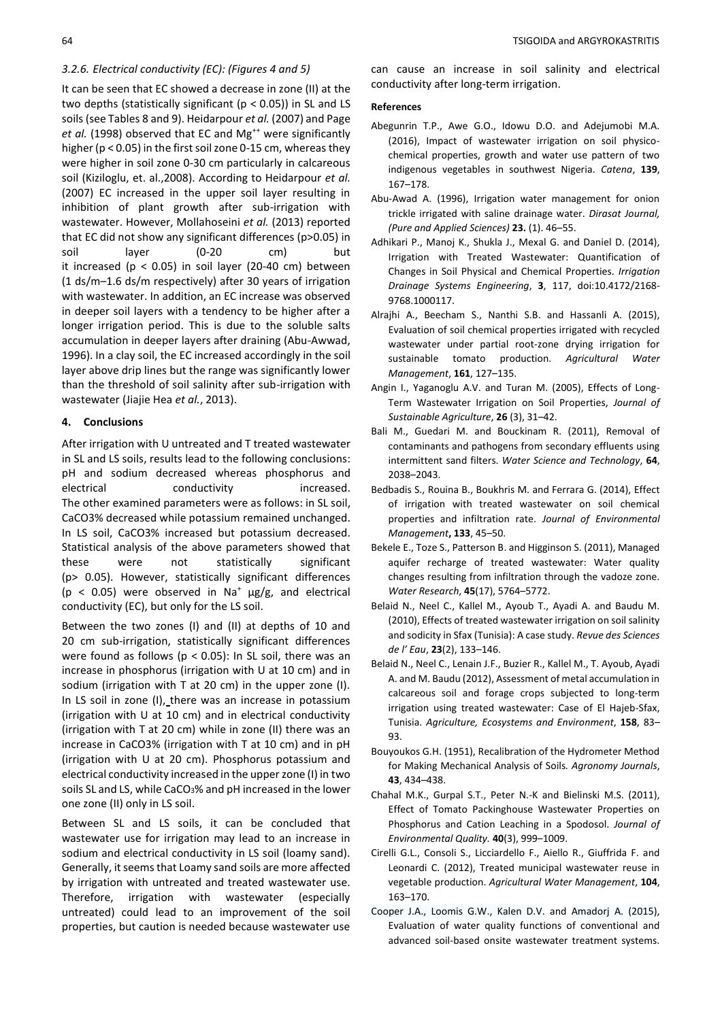#### *3.2.6. Electrical conductivity (EC): (Figures 4 and 5)*

It can be seen that EC showed a decrease in zone (II) at the two depths (statistically significant ( $p < 0.05$ )) in SL and LS soils (see Tables 8 and 9). Heidarpour *et al.* (2007) and Page et al. (1998) observed that EC and Mg<sup>++</sup> were significantly higher (p < 0.05) in the first soil zone 0-15 cm, whereas they were higher in soil zone 0-30 cm particularly in calcareous soil (Kiziloglu, et. al.,2008). According to Heidarpour *et al.* (2007) EC increased in the upper soil layer resulting in inhibition of plant growth after sub-irrigation with wastewater. However, Mollahoseini *et al.* (2013) reported that EC did not show any significant differences (p>0.05) in soil layer (0-20 cm) but it increased ( $p < 0.05$ ) in soil layer (20-40 cm) between (1 ds/m–1.6 ds/m respectively) after 30 years of irrigation with wastewater. In addition, an EC increase was observed in deeper soil layers with a tendency to be higher after a longer irrigation period. This is due to the soluble salts accumulation in deeper layers after draining (Abu-Awwad, 1996). In a clay soil, the EC increased accordingly in the soil layer above drip lines but the range was significantly lower than the threshold of soil salinity after sub-irrigation with wastewater (Jiajie Hea *et al.*, 2013).

# **4. Conclusions**

After irrigation with U untreated and T treated wastewater in SL and LS soils, results lead to the following conclusions: pH and sodium decreased whereas phosphorus and electrical conductivity increased. The other examined parameters were as follows: in SL soil, CaCO3% decreased while potassium remained unchanged. In LS soil, CaCO3% increased but potassium decreased. Statistical analysis of the above parameters showed that these were not statistically significant (p> 0.05). However, statistically significant differences ( $p < 0.05$ ) were observed in Na<sup>+</sup>  $\mu$ g/g, and electrical conductivity (EC), but only for the LS soil.

Between the two zones (I) and (II) at depths of 10 and 20 cm sub-irrigation, statistically significant differences were found as follows ( $p < 0.05$ ): In SL soil, there was an increase in phosphorus (irrigation with U at 10 cm) and in sodium (irrigation with T at 20 cm) in the upper zone (I). In LS soil in zone (I), there was an increase in potassium (irrigation with U at 10 cm) and in electrical conductivity (irrigation with T at 20 cm) while in zone (II) there was an increase in CaCO3% (irrigation with T at 10 cm) and in pH (irrigation with U at 20 cm). Phosphorus potassium and electrical conductivity increased in the upper zone (I) in two soils SL and LS, while CaCO<sub>3</sub>% and pH increased in the lower one zone (II) only in LS soil.

Between SL and LS soils, it can be concluded that wastewater use for irrigation may lead to an increase in sodium and electrical conductivity in LS soil (loamy sand). Generally, it seems that Loamy sand soils are more affected by irrigation with untreated and treated wastewater use. Therefore, irrigation with wastewater (especially untreated) could lead to an improvement of the soil properties, but caution is needed because wastewater use

can cause an increase in soil salinity and electrical conductivity after long-term irrigation.

#### **References**

- Abegunrin T.P., Awe G.O., Idowu D.O. and Adejumobi M.A. (2016), Impact of wastewater irrigation on soil physicochemical properties, growth and water use pattern of two indigenous vegetables in southwest Nigeria. *Catena*, **139**, 167–178.
- Abu-Awad A. (1996), Irrigation water management for onion trickle irrigated with saline drainage water. *Dirasat Journal, (Pure and Applied Sciences)* **23.** (1). 46–55.
- Adhikari P., Manoj K., Shukla J., Mexal G. and Daniel D. (2014), Irrigation with Treated Wastewater: Quantification of Changes in Soil Physical and Chemical Properties. *Irrigation Drainage Systems Engineering*, **3**, 117, doi:10.4172/2168- 9768.1000117.
- Alrajhi A., Beecham S., Nanthi S.B. and Hassanli A. (2015), Evaluation of soil chemical properties irrigated with recycled wastewater under partial root-zone drying irrigation for sustainable tomato production. *Agricultural Water Management*, **161**, 127–135.
- Angin I., Yaganoglu A.V. and Turan M. (2005), Effects of Long-Term Wastewater Irrigation on Soil Properties, *Journal of Sustainable Agriculture*, **26** (3), 31–42.
- Bali M., Guedari M. and Bouckinam R. (2011), Removal of contaminants and pathogens from secondary effluents using intermittent sand filters. *Water Science and Technology*, **64**, 2038–2043.
- Bedbadis S., Rouina B., Boukhris M. and Ferrara G. (2014), Effect of irrigation with treated wastewater on soil chemical properties and infiltration rate. *Journal of Environmental Management***, 133**, 45–50.
- Bekele E., Toze S., Patterson B. and Higginson S. (2011), Managed aquifer recharge of treated wastewater: Water quality changes resulting from infiltration through the vadoze zone. *Water Research*, **45**(17), 5764–5772.
- Belaid N., Neel C., Kallel M., Ayoub T., Ayadi A. and Baudu M. (2010), Effects of treated wastewater irrigation on soil salinity and sodicity in Sfax (Tunisia): A case study. *Revue des Sciences de l' Eau*, **23**(2), 133–146.
- Belaid N., Neel C., Lenain J.F., Buzier R., Kallel M., T. Ayoub, Ayadi A. and M. Baudu (2012), Assessment of metal accumulation in calcareous soil and forage crops subjected to long-term irrigation using treated wastewater: Case of El Hajeb-Sfax, Tunisia. *Agriculture, Ecosystems and Environment*, **158**, 83– 93.
- Bouyoukos G.H. (1951), Recalibration of the Hydrometer Method for Making Mechanical Analysis of Soils*. Agronomy Journals*, **43**, 434–438.
- Chahal M.K., Gurpal S.T., Peter N.-K and Bielinski M.S. (2011), Effect of Tomato Packinghouse Wastewater Properties on Phosphorus and Cation Leaching in a Spodosol. *Journal of Environmental Quality.* **40**(3), 999–1009.
- Cirelli G.L., Consoli S., Licciardello F., Aiello R., Giuffrida F. and Leonardi C. (2012), Treated municipal wastewater reuse in vegetable production. *[Agricultural Water Management](http://www.sciencedirect.com/science/journal/03783774)*, **[104](http://www.sciencedirect.com/science/journal/03783774/104/supp/C)**, 163–170.
- Cooper J.A., Loomis G.W., Kalen D.V. and Amadorj A. (2015), Evaluation of water quality functions of conventional and advanced soil-based onsite wastewater treatment systems.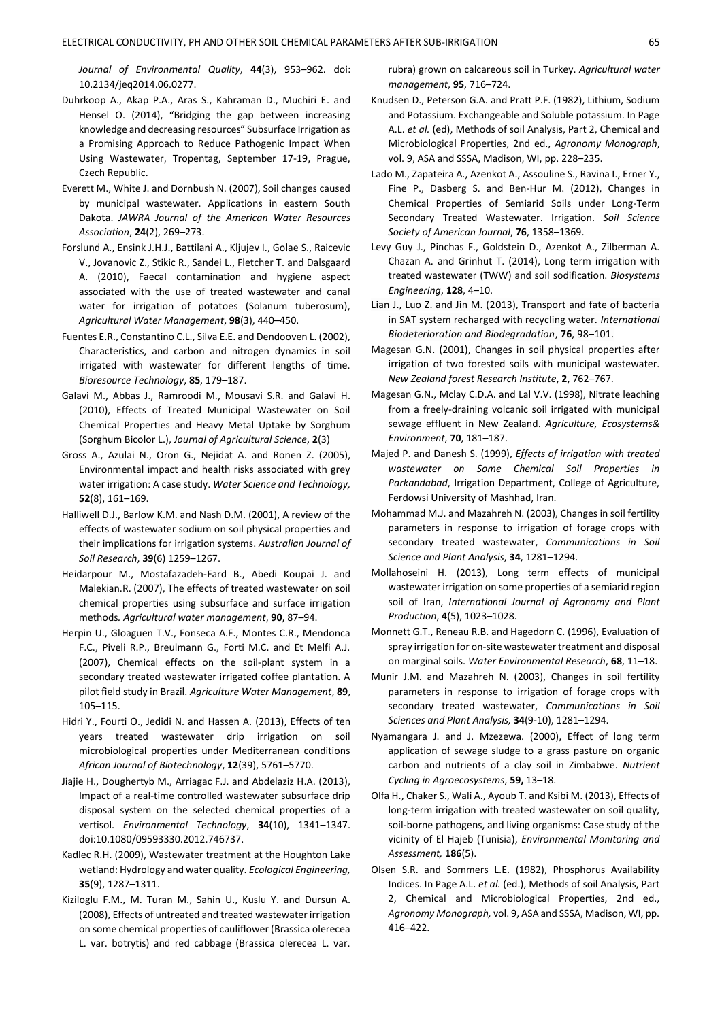*Journal of Environmental Quality*, **44**(3), 953–962. doi: 10.2134/jeq2014.06.0277.

- Duhrkoop A., Akap P.A., Aras S., Kahraman D., Muchiri E. and Hensel O. (2014), "Bridging the gap between increasing knowledge and decreasing resources" Subsurface Irrigation as a Promising Approach to Reduce Pathogenic Impact When Using Wastewater, Tropentag, September 17-19, Prague, Czech Republic.
- Everett M., White J. and Dornbush N. (2007), Soil changes caused by municipal wastewater. Applications in eastern South Dakota. *JAWRA Journal of the American Water Resources Association*, **24**(2), 269–273.
- Forslund A., Ensink J.H.J., Battilani A., Kljujev I., Golae S., Raicevic V., Jovanovic Z., Stikic R., Sandei L., Fletcher T. and Dalsgaard A. (2010), Faecal contamination and hygiene aspect associated with the use of treated wastewater and canal water for irrigation of potatoes (Solanum tuberosum), *Agricultural Water Management*, **98**(3), 440–450.
- Fuentes E.R., Constantino C.L., Silva E.E. and Dendooven L. (2002), Characteristics, and carbon and nitrogen dynamics in soil irrigated with wastewater for different lengths of time. *Bioresource Technology*, **85**, 179–187.
- Galavi M., Abbas J., Ramroodi M., Mousavi S.R. and Galavi H. (2010), Effects of Treated Municipal Wastewater on Soil Chemical Properties and Heavy Metal Uptake by Sorghum (Sorghum Bicolor L.), *Journal of Agricultural Science*, **2**(3)
- Gross A., Azulai N., Oron G., Nejidat A. and Ronen Z. (2005), Environmental impact and health risks associated with grey water irrigation: A case study. *[Water Science and Technology,](http://www.scopus.com/source/sourceInfo.url?sourceId=19376&origin=recordpage)* **52**(8), 161–169.
- Halliwell D.J., Barlow K.M. and Nash D.M. (2001), A review of the effects of wastewater sodium on soil physical properties and their implications for irrigation systems. *Australian Journal of Soil Research*, **39**(6) 1259–1267.
- Heidarpour M., Mostafazadeh-Fard B., Abedi Koupai J. and Malekian.R. (2007), The effects of treated wastewater on soil chemical properties using subsurface and surface irrigation methods*. Agricultural water management*, **90**, 87–94.
- Herpin U., Gloaguen T.V., Fonseca A.F., Montes C.R., Mendonca F.C., Piveli R.P., Breulmann G., Forti M.C. and Et Melfi A.J. (2007), Chemical effects on the soil-plant system in a secondary treated wastewater irrigated coffee plantation. A pilot field study in Brazil. *Agriculture Water Management*, **89**, 105–115.
- Hidri Y., Fourti O., Jedidi N. and Hassen A. (2013), Effects of ten years treated wastewater drip irrigation on soil microbiological properties under Mediterranean conditions *African Journal of Biotechnology*, **12**(39), 5761–5770.
- Jiajie H., Doughertyb M., Arriagac F.J. and Abdelaziz H.A. (2013), Impact of a real-time controlled wastewater subsurface drip disposal system on the selected chemical properties of a vertisol. *Environmental Technology*, **34**(10), 1341–1347. [doi:10.1080/09593330.2012.746737.](http://dx.doi.org/10.1080/09593330.2012.746737)
- Kadlec R.H. (2009), Wastewater treatment at the Houghton Lake wetland: Hydrology and water quality. *Ecological Engineering,* **35**(9), 1287–1311.
- Kiziloglu F.M., M. Turan M., Sahin U., Kuslu Y. and Dursun A. (2008), Effects of untreated and treated wastewater irrigation on some chemical properties of cauliflower (Brassica olerecea L. var. botrytis) and red cabbage (Brassica olerecea L. var.

rubra) grown on calcareous soil in Turkey. *Agricultural water management*, **95**, 716–724.

- Knudsen D., Peterson G.A. and Pratt P.F. (1982), Lithium, Sodium and Potassium. Exchangeable and Soluble potassium. In Page A.L. *et al.* (ed), Methods of soil Analysis, Part 2, Chemical and Microbiological Properties, 2nd ed., *Agronomy Monograph*, vol. 9, ASA and SSSA, Madison, WI, pp. 228–235.
- Lado M., Zapateira A., Azenkot A., Assouline S., Ravina I., Erner Y., Fine P., Dasberg S. and Ben-Hur M. (2012), Changes in Chemical Properties of Semiarid Soils under Long-Term Secondary Treated Wastewater. Irrigation. *Soil Science Society of American Journal*, **76**, 1358–1369.
- Levy Guy J., Pinchas F., Goldstein D., Azenkot A., Zilberman A. Chazan A. and Grinhut T. (2014), Long term irrigation with treated wastewater (TWW) and soil sodification. *Biosystems Engineering*, **128**, 4–10.
- Lian J., Luo Z. and Jin M. (2013), Transport and fate of bacteria in SAT system recharged with recycling water. *International Biodeterioration and Biodegradation*, **76**, 98–101.
- Magesan G.N. (2001), Changes in soil physical properties after irrigation of two forested soils with municipal wastewater. *New Zealand forest Research Institute*, **2**, 762–767.
- Magesan G.N., Mclay C.D.A. and Lal V.V. (1998), Nitrate leaching from a freely-draining volcanic soil irrigated with municipal sewage effluent in New Zealand. *Agriculture, Ecosystems& Environment*, **70**, 181–187.
- Majed P. and Danesh S. (1999), *Effects of irrigation with treated wastewater on Some Chemical Soil Properties in Parkandabad*, Irrigation Department, College of Agriculture, Ferdowsi University of Mashhad, Iran.
- Mohammad M.J. and Mazahreh N. (2003), Changes in soil fertility parameters in response to irrigation of forage crops with secondary treated wastewater, *Communications in Soil Science and Plant Analysis*, **34**, 1281–1294.
- Mollahoseini H. (2013), Long term effects of municipal wastewater irrigation on some properties of a semiarid region soil of Iran, *International Journal of Agronomy and Plant Production*, **4**(5), 1023–1028.
- Monnett G.T., Reneau R.B. and Hagedorn C. (1996), Evaluation of spray irrigation for on-site wastewater treatment and disposal on marginal soils. *Water Environmental Research*, **68**, 11–18.
- Munir J.M. and Mazahreh N. (2003), Changes in soil fertility parameters in response to irrigation of forage crops with secondary treated wastewater, *Communications in Soil Sciences and Plant Analysis,* **34**(9-10), 1281–1294.
- Nyamangara J. and J. Mzezewa. (2000), Effect of long term application of sewage sludge to a grass pasture on organic carbon and nutrients of a clay soil in Zimbabwe. *Nutrient Cycling in Agroecosystems*, **59,** 13–18.
- Olfa H., Chaker S., Wali A., Ayoub T. and Ksibi M. (2013), Effects of long-term irrigation with treated wastewater on soil quality, soil-borne pathogens, and living organisms: Case study of the vicinity of El Hajeb (Tunisia), *Environmental Monitoring and Assessment,* **186**(5).
- Olsen S.R. and Sommers L.E. (1982), Phosphorus Availability Indices. In Page A.L. *et al.* (ed.), Methods of soil Analysis, Part 2, Chemical and Microbiological Properties, 2nd ed., *Agronomy Monograph,* vol. 9, ASA and SSSA, Madison, WI, pp. 416–422.